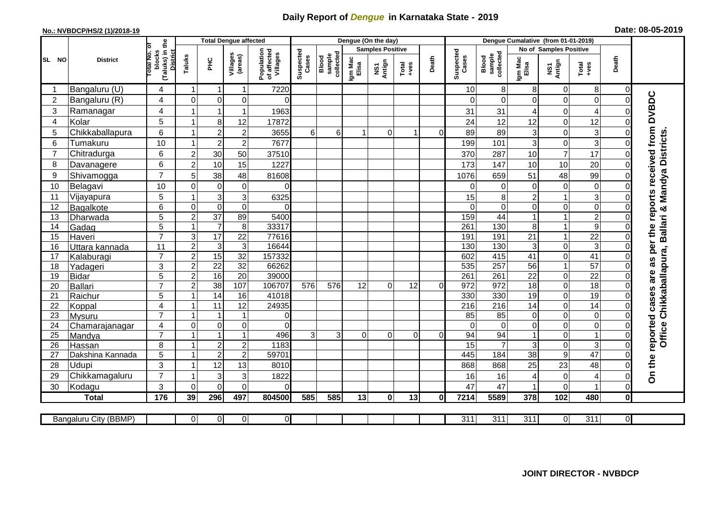## **Daily Report of** *Dengue* **in Karnataka State - 2019**

## **No.: NVBDCP/HS/2 (1)/2018-19 Date: 08-05-2019**

|                |                            | the                                                | <b>Total Dengue affected</b> |                                    |                                    |                                       |                    |                              |                  | Dengue (On the day)     |                                                              |          |                    |                              |                      |                             |                   |                            |                                                                  |
|----------------|----------------------------|----------------------------------------------------|------------------------------|------------------------------------|------------------------------------|---------------------------------------|--------------------|------------------------------|------------------|-------------------------|--------------------------------------------------------------|----------|--------------------|------------------------------|----------------------|-----------------------------|-------------------|----------------------------|------------------------------------------------------------------|
|                |                            |                                                    |                              |                                    |                                    |                                       |                    |                              |                  | <b>Samples Positive</b> |                                                              |          |                    |                              |                      | No of Samples Positive      |                   |                            |                                                                  |
| SL NO          | <b>District</b>            | otal No. of<br>(Taluks) in t<br>District<br>blocks | Taluks                       | PНC                                | Villages<br>(areas)                | Population<br>of affected<br>Villages | Suspected<br>Cases | Blood<br>sample<br>collected | Igm Mac<br>Elisa | NS1<br>Antign           | $\begin{array}{c}\n\text{Total} \\ \text{+ves}\n\end{array}$ | Death    | Suspected<br>Cases | collected<br>sample<br>Blood | Igm Mac<br>Elisa     | NS1<br>Antign               | $Tota$<br>$+ve$ s | Death                      |                                                                  |
|                | Bangaluru (U)              | 4                                                  | 1                            | $\overline{1}$                     | -1                                 | 7220                                  |                    |                              |                  |                         |                                                              |          | 10                 | 8                            | 8                    | $\mathbf 0$                 | 8                 | $\overline{0}$             |                                                                  |
| $\overline{2}$ | Bangaluru (R)              | 4                                                  | $\mathbf 0$                  | $\overline{0}$                     | 0                                  | $\Omega$                              |                    |                              |                  |                         |                                                              |          | $\Omega$           | $\Omega$                     | $\Omega$             | $\mathbf 0$                 | $\overline{0}$    | $\overline{0}$             |                                                                  |
| 3              | Ramanagar                  | $\overline{4}$                                     |                              | $\mathbf{1}$                       | $\mathbf{1}$                       | 1963                                  |                    |                              |                  |                         |                                                              |          | 31                 | 31                           | 4                    | $\mathbf 0$                 | 4                 | $\Omega$                   |                                                                  |
| 4              | Kolar                      | 5                                                  | 1                            | 8                                  | 12                                 | 17872                                 |                    |                              |                  |                         |                                                              |          | 24                 | 12                           | 12                   | $\mathbf 0$                 | 12                | 0                          |                                                                  |
| 5              | Chikkaballapura            | 6                                                  | 1                            | $\overline{c}$                     | $\overline{\mathbf{c}}$            | 3655                                  | 6 <sup>1</sup>     | 6                            | 1                | $\Omega$                |                                                              | $\Omega$ | 89                 | 89                           | 3                    | $\mathbf 0$                 | 3                 | 0                          |                                                                  |
| 6              | Tumakuru                   | 10                                                 | 1                            | $\overline{2}$                     | $\overline{c}$                     | 7677                                  |                    |                              |                  |                         |                                                              |          | 199                | 101                          | 3                    | $\mathsf{O}\xspace$         | 3                 | 0                          |                                                                  |
| $\overline{7}$ | Chitradurga                | 6                                                  | $\overline{2}$               | 30                                 | 50                                 | 37510                                 |                    |                              |                  |                         |                                                              |          | 370                | 287                          | 10                   | $\overline{7}$              | 17                | 0                          |                                                                  |
| 8              | Davanagere                 | 6                                                  | $\overline{2}$               | 10                                 | 15                                 | 1227                                  |                    |                              |                  |                         |                                                              |          | 173                | 147                          | 10                   | 10                          | 20                | $\mathbf 0$                |                                                                  |
| 9              | Shivamogga                 | $\overline{7}$                                     | 5                            | 38                                 | 48                                 | 81608                                 |                    |                              |                  |                         |                                                              |          | 1076               | 659                          | 51                   | 48                          | 99                | $\Omega$                   | Ballari & Mandya Districts                                       |
| 10             | Belagavi                   | 10                                                 | $\mathbf 0$                  | $\pmb{0}$                          | $\pmb{0}$                          | $\Omega$                              |                    |                              |                  |                         |                                                              |          | $\Omega$           | $\mathbf 0$                  | 0                    | $\boldsymbol{0}$            | $\mathbf 0$       | $\Omega$                   |                                                                  |
| 11             | Vijayapura                 | 5                                                  | 1                            | $\mathbf{3}$                       | 3                                  | 6325                                  |                    |                              |                  |                         |                                                              |          | 15                 | 8                            | $\overline{2}$       | $\mathbf{1}$                | 3                 | $\Omega$                   |                                                                  |
| 12             | Bagalkote                  | 6                                                  | $\mathsf{O}\xspace$          | $\overline{0}$                     | $\overline{0}$                     | $\Omega$                              |                    |                              |                  |                         |                                                              |          | $\Omega$           | $\Omega$                     | $\Omega$             | $\pmb{0}$                   | $\overline{0}$    | $\Omega$                   |                                                                  |
| 13             | Dharwada                   | 5                                                  | $\mathbf 2$                  | $\overline{37}$                    | 89                                 | 5400                                  |                    |                              |                  |                         |                                                              |          | 159                | $\overline{44}$              |                      | $\mathbf{1}$                | $\overline{2}$    | $\Omega$                   |                                                                  |
| 14             | Gadag                      | $\overline{5}$                                     | $\mathbf{1}$                 | $\overline{7}$                     | $\,8\,$                            | 33317                                 |                    |                              |                  |                         |                                                              |          | 261                | 130                          | 8                    | $\mathbf{1}$                | $\overline{9}$    | 0                          |                                                                  |
| 15             | Haveri                     | $\overline{7}$                                     | 3                            | 17                                 | 22                                 | 77616                                 |                    |                              |                  |                         |                                                              |          | 191                | 191                          | 21                   | $\mathbf{1}$                | $\overline{22}$   | 0                          |                                                                  |
| 16             | Uttara kannada             | 11                                                 | $\overline{2}$               | $\overline{3}$                     | $\overline{3}$                     | 16644                                 |                    |                              |                  |                         |                                                              |          | 130                | 130                          | 3                    | $\mathbf 0$                 | 3                 | $\Omega$                   |                                                                  |
| 17             | Kalaburagi                 | $\overline{7}$                                     | $\overline{a}$               | 15                                 | $\overline{32}$                    | 157332                                |                    |                              |                  |                         |                                                              |          | 602                | 415                          | 41                   | $\boldsymbol{0}$            | 41                | $\mathbf 0$                |                                                                  |
| 18             | Yadageri                   | 3                                                  | $\overline{c}$               | 22                                 | 32                                 | 66262                                 |                    |                              |                  |                         |                                                              |          | 535                | 257                          | 56                   | $\mathbf{1}$                | 57                | $\Omega$                   |                                                                  |
| 19             | <b>Bidar</b>               | 5                                                  | $\mathbf 2$                  | 16                                 | $\overline{20}$                    | 39000                                 |                    |                              |                  |                         |                                                              |          | 261                | 261                          | $\overline{22}$      | $\mathbf 0$                 | $\overline{22}$   | 0                          |                                                                  |
| 20             | Ballari                    | $\overline{7}$                                     | $\overline{2}$               | 38                                 | 107                                | 106707                                | 576                | 576                          | 12               | $\Omega$                | 12                                                           | 0        | $\overline{972}$   | $\overline{972}$             | $\overline{18}$      | $\mathbf 0$                 | 18                | $\Omega$                   |                                                                  |
| 21             | Raichur                    | 5                                                  | 1                            | $\overline{14}$                    | 16                                 | 41018                                 |                    |                              |                  |                         |                                                              |          | 330                | 330                          | 19                   | $\boldsymbol{0}$            | $\overline{19}$   | 0                          | Chikkaballapura,                                                 |
| 22             | Koppal                     | 4                                                  | 1                            | $\overline{11}$                    | 12                                 | 24935                                 |                    |                              |                  |                         |                                                              |          | 216                | $\overline{216}$             | 14                   | $\mathbf 0$                 | $\overline{14}$   | $\overline{0}$             |                                                                  |
| 23             | Mysuru                     | $\overline{7}$                                     | 1                            | $\mathbf{1}$                       | $\mathbf{1}$                       | $\overline{0}$                        |                    |                              |                  |                         |                                                              |          | 85                 | 85                           | 0                    | $\mathsf{O}\xspace$         | 0                 | $\mathbf 0$                |                                                                  |
| 24             | Chamarajanagar             | $\overline{4}$<br>$\overline{7}$                   | $\overline{0}$               | $\pmb{0}$<br>$\overline{1}$        | $\mathbf 0$<br>1                   | $\Omega$                              |                    |                              |                  |                         |                                                              |          | $\Omega$           | $\Omega$                     | $\Omega$             | $\mathbf 0$                 | 0<br>1            | 0                          |                                                                  |
| 25             | Mandya                     | 8                                                  | 1                            |                                    |                                    | 496                                   | $\overline{3}$     | 3                            | $\Omega$         | $\overline{0}$          | $\mathbf 0$                                                  | 0        | 94                 | 94                           |                      | $\mathbf 0$                 | 3                 | $\mathbf 0$<br>$\mathbf 0$ | Office                                                           |
| 26<br>27       | Hassan<br>Dakshina Kannada | 5                                                  | $\mathbf{1}$                 | $\boldsymbol{2}$<br>$\overline{2}$ | $\boldsymbol{2}$<br>$\overline{2}$ | 1183<br>59701                         |                    |                              |                  |                         |                                                              |          | 15<br>445          | 184                          | 3<br>$\overline{38}$ | $\pmb{0}$<br>$\overline{9}$ | 47                | $\mathbf 0$                |                                                                  |
| 28             | Udupi                      | 3                                                  | 1                            | 12                                 | 13                                 |                                       |                    |                              |                  |                         |                                                              |          |                    | 868                          |                      | 23                          | 48                | $\Omega$                   |                                                                  |
| 29             | Chikkamagaluru             | $\overline{7}$                                     | 1                            | 3                                  | 3                                  | 8010<br>1822                          |                    |                              |                  |                         |                                                              |          | 868                |                              | 25<br>4              | $\mathbf 0$                 | 4                 | $\Omega$                   | On the reported cases are as per the reports received from DVBDC |
| 30             | Kodagu                     | 3                                                  | $\Omega$                     | $\Omega$                           | $\Omega$                           | $\Omega$                              |                    |                              |                  |                         |                                                              |          | 16<br>47           | 16<br>47                     |                      | $\Omega$                    |                   | $\mathbf 0$                |                                                                  |
|                | <b>Total</b>               | 176                                                | 39                           | 296                                | 497                                | 804500                                | 585                | 585                          | 13               | $\mathbf{0}$            | 13                                                           | 0        | 7214               | 5589                         | 378                  | 102                         | 480               | $\mathbf 0$                |                                                                  |
|                |                            |                                                    |                              |                                    |                                    |                                       |                    |                              |                  |                         |                                                              |          |                    |                              |                      |                             |                   |                            |                                                                  |
|                | Bangaluru City (BBMP)      |                                                    | $\overline{0}$               | $\overline{0}$                     | $\overline{0}$                     | $\overline{O}$                        |                    |                              |                  |                         |                                                              |          | $\overline{311}$   | $\overline{311}$             | $\overline{311}$     | $\overline{0}$              | $\overline{311}$  | $\overline{0}$             |                                                                  |